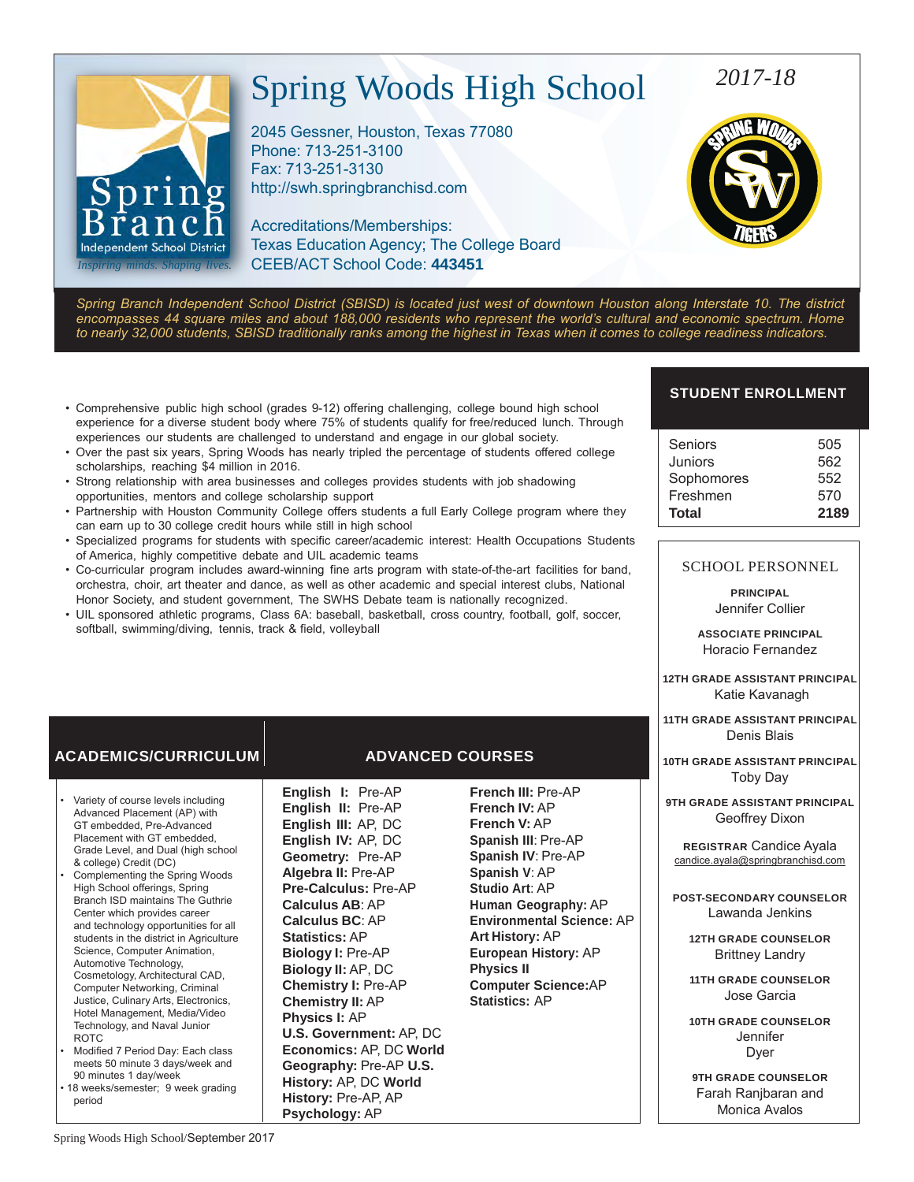# Spring Woods High School

2045 Gessner, Houston, Texas 77080 Phone: 713-251-3100 Fax: 713-251-313[0](http://swh.springbranchisd.com/) [http://swh.springbranchisd.com](http://swh.springbranchisd.com/)

Accreditations/Memberships: Texas Education Agency; The College Board CEEB/ACT School Code: **443451**

# *2017-18*

**SWE WUN** 

*Spring Branch Independent School District (SBISD) is located just west of downtown Houston along Interstate 10. The district encompasses 44 square miles and about 188,000 residents who represent the world's cultural and economic spectrum. Home to nearly 32,000 students, SBISD traditionally ranks among the highest in Texas when it comes to college readiness indicators.*

- Comprehensive public high school (grades 9-12) offering challenging, college bound high school experience for a diverse student body where 75% of students qualify for free/reduced lunch. Through experiences our students are challenged to understand and engage in our global society.
- Over the past six years, Spring Woods has nearly tripled the percentage of students offered college scholarships, reaching \$4 million in 2016.
- Strong relationship with area businesses and colleges provides students with job shadowing opportunities, mentors and college scholarship support
- Partnership with Houston Community College offers students a full Early College program where they can earn up to 30 college credit hours while still in high school
- Specialized programs for students with specific career/academic interest: Health Occupations Students of America, highly competitive debate and UIL academic teams
- Co-curricular program includes award-winning fine arts program with state-of-the-art facilities for band, orchestra, choir, art theater and dance, as well as other academic and special interest clubs, National Honor Society, and student government, The SWHS Debate team is nationally recognized.
- UIL sponsored athletic programs, Class 6A: baseball, basketball, cross country, football, golf, soccer, softball, swimming/diving, tennis, track & field, volleyball

# **ACADEMICS/CURRICULUM ADVANCED COURSES**

- Variety of course levels including Advanced Placement (AP) with GT embedded, Pre-Advanced Placement with GT embedded, Grade Level, and Dual (high school & college) Credit (DC)
- Complementing the Spring Woods High School offerings, Spring Branch ISD maintains The Guthrie Center which provides career and technology opportunities for all students in the district in Agriculture Science, Computer Animation, Automotive Technology, Cosmetology, Architectural CAD, Computer Networking, Criminal Justice, Culinary Arts, Electronics, Hotel Management, Media/Video Technology, and Naval Junior ROTC
- Modified 7 Period Day: Each class meets 50 minute 3 days/week and 90 minutes 1 day/week
- 18 weeks/semester; 9 week grading period

**English I:** Pre-AP **English II:** Pre-AP **English III:** AP, DC **English IV:** AP, DC **Geometry:** Pre-AP **Algebra II:** Pre-AP **Pre-Calculus:** Pre-AP **Calculus AB**: AP **Calculus BC**: AP **Statistics:** AP **Biology I:** Pre-AP **Biology II:** AP, DC **Chemistry I:** Pre-AP **Chemistry II:** AP **Physics I:** AP **U.S. Government:** AP, DC **Economics:** AP, DC **World Geography:** Pre-AP **U.S. History:** AP, DC **World History:** Pre-AP, AP **Psychology:** AP

**French III:** Pre-AP **French IV:** AP **French V:** AP **Spanish III**: Pre-AP **Spanish IV**: Pre-AP **Spanish V**: AP **Studio Art**: AP **Human Geography:** AP **Environmental Science:** AP **Art History:** AP **European History:** AP **Physics II Computer Science:**AP **Statistics:** AP

# **STUDENT ENROLLMENT**

| Seniors    | 505  |
|------------|------|
| Juniors    | 562  |
|            |      |
| Sophomores | 552  |
| Freshmen   | 570  |
| Total      | 2189 |

## SCHOOL PERSONNEL

**PRINCIPAL** Jennifer Collier

**ASSOCIATE PRINCIPAL** Horacio Fernandez

**12TH GRADE ASSISTANT PRINCIPAL** Katie Kavanagh

**11TH GRADE ASSISTANT PRINCIPAL** Denis Blais

**10TH GRADE ASSISTANT PRINCIPAL** Toby Day

**9TH GRADE ASSISTANT PRINCIPAL** Geoffrey Dixon

**REGISTRAR** Candice Ayala [candice.ayala@springbranchisd.com](mailto:candice.ayala@springbranchisd.com)

**POST-SECONDARY COUNSELOR** Lawanda Jenkins

**12TH GRADE COUNSELOR** Brittney Landry

**11TH GRADE COUNSELOR** Jose Garcia

**10TH GRADE COUNSELOR Jennifer** Dyer

**9TH GRADE COUNSELOR**  Farah Ranjbaran and Monica Avalos